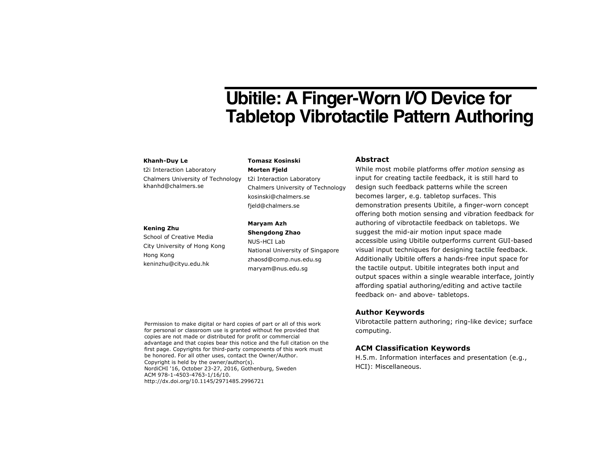# **Ubitile: A Finger-Worn I/O Device for Tabletop Vibrotactile Pattern Authoring**

#### **Khanh-Duy Le**

t2i Interaction Laboratory Chalmers University of Technology [khanhd@chalmers.se](mailto:khanhd@chalmers.se)

#### **Kening Zhu**

School of Creative Media City University of Hong Kong Hong Kong [keninzhu@cityu.edu.hk](mailto:keninzhu@cityu.edu.hk)

## **Tomasz Kosinski**

**Morten Fjeld** t2i Interaction Laboratory Chalmers University of Technology [kosinski@chalmers.se](mailto:kosinski@chalmers.se) [fjeld@chalmers.se](mailto:fjeld@chalmers.se)

### **Maryam Azh Shengdong Zhao**

NUS-HCI Lab National University of Singapore [zhaosd@comp.nus.edu.sg](mailto:zhaosd@comp.nus.edu.sg) [maryam@nus.edu.sg](mailto:maryam@nus.edu.sg)

## **Abstract**

While most mobile platforms offer *motion sensing* as input for creating tactile feedback, it is still hard to design such feedback patterns while the screen becomes larger, e.g. tabletop surfaces. This demonstration presents Ubitile, a finger-worn concept offering both motion sensing and vibration feedback for authoring of vibrotactile feedback on tabletops. We suggest the mid-air motion input space made accessible using Ubitile outperforms current GUI-based visual input techniques for designing tactile feedback. Additionally Ubitile offers a hands-free input space for the tactile output. Ubitile integrates both input and output spaces within a single wearable interface, jointly affording spatial authoring/editing and active tactile feedback on- and above- tabletops.

## **Author Keywords**

Vibrotactile pattern authoring; ring-like device; surface computing.

## **ACM Classification Keywords**

H.5.m. Information interfaces and presentation (e.g., HCI): Miscellaneous.

Permission to make digital or hard copies of part or all of this work for personal or classroom use is granted without fee provided that copies are not made or distributed for profit or commercial advantage and that copies bear this notice and the full citation on the first page. Copyrights for third-party components of this work must be honored. For all other uses, contact the Owner/Author. Copyright is held by the owner/author(s). NordiCHI '16, October 23-27, 2016, Gothenburg, Sweden ACM 978-1-4503-4763-1/16/10. http://dx.doi.org/10.1145/2971485.2996721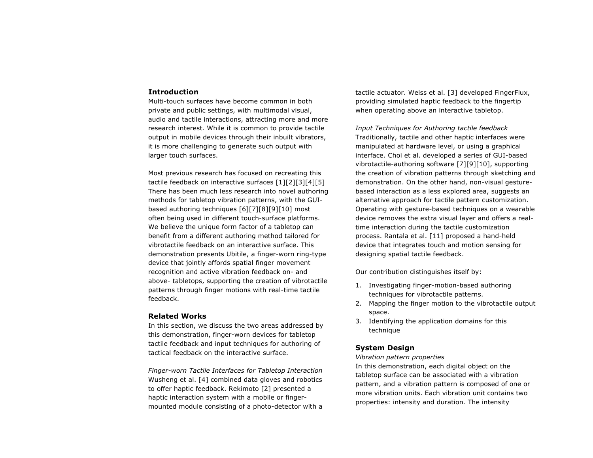## **Introduction**

Multi-touch surfaces have become common in both private and public settings, with multimodal visual, audio and tactile interactions, attracting more and more research interest. While it is common to provide tactile output in mobile devices through their inbuilt vibrators, it is more challenging to generate such output with larger touch surfaces.

Most previous research has focused on recreating this tactile feedback on interactive surfaces [\[1\]](#page-3-0)[\[2\]](#page-3-1)[\[3\]](#page-3-2)[\[4\]](#page-3-3)[\[5\]](#page-3-4) There has been much less research into novel authoring methods for tabletop vibration patterns, with the GUIbased authoring techniques [\[6\]](#page-3-5)[\[7\]](#page-3-6)[\[8\]](#page-3-7)[\[9\]](#page-3-8)[\[10\]](#page-3-9) most often being used in different touch-surface platforms. We believe the unique form factor of a tabletop can benefit from a different authoring method tailored for vibrotactile feedback on an interactive surface. This demonstration presents Ubitile, a finger-worn ring-type device that jointly affords spatial finger movement recognition and active vibration feedback on- and above- tabletops, supporting the creation of vibrotactile patterns through finger motions with real-time tactile feedback.

### **Related Works**

In this section, we discuss the two areas addressed by this demonstration, finger-worn devices for tabletop tactile feedback and input techniques for authoring of tactical feedback on the interactive surface.

*Finger-worn Tactile Interfaces for Tabletop Interaction* Wusheng et al. [\[4\]](#page-3-3) combined data gloves and robotics to offer haptic feedback. Rekimoto [\[2\]](#page-3-1) presented a haptic interaction system with a mobile or fingermounted module consisting of a photo-detector with a tactile actuator. Weiss et al. [\[3\]](#page-3-2) developed FingerFlux, providing simulated haptic feedback to the fingertip when operating above an interactive tabletop.

*Input Techniques for Authoring tactile feedback* Traditionally, tactile and other haptic interfaces were manipulated at hardware level, or using a graphical interface. Choi et al. developed a series of GUI-based vibrotactile-authoring software [\[7\]](#page-3-6)[\[9\]](#page-3-8)[\[10\]](#page-3-9), supporting the creation of vibration patterns through sketching and demonstration. On the other hand, non-visual gesturebased interaction as a less explored area, suggests an alternative approach for tactile pattern customization. Operating with gesture-based techniques on a wearable device removes the extra visual layer and offers a realtime interaction during the tactile customization process. Rantala et al. [\[11\]](#page-3-10) proposed a hand-held device that integrates touch and motion sensing for designing spatial tactile feedback.

Our contribution distinguishes itself by:

- 1. Investigating finger-motion-based authoring techniques for vibrotactile patterns.
- 2. Mapping the finger motion to the vibrotactile output space.
- 3. Identifying the application domains for this technique

#### **System Design**

*Vibration pattern properties*

In this demonstration, each digital object on the tabletop surface can be associated with a vibration pattern, and a vibration pattern is composed of one or more vibration units. Each vibration unit contains two properties: intensity and duration. The intensity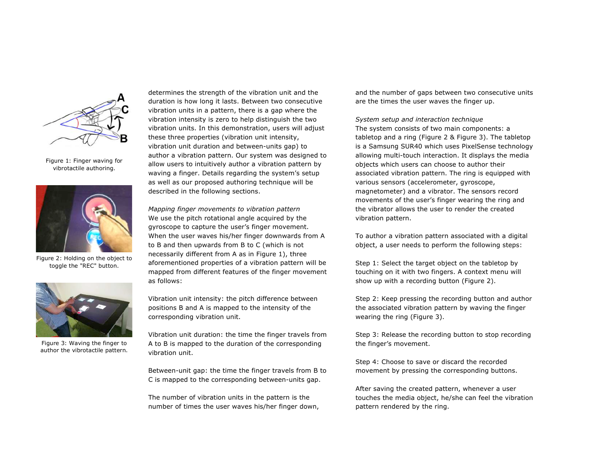

Figure 1: Finger waving for vibrotactile authoring.

<span id="page-2-0"></span>

Figure 2: Holding on the object to toggle the "REC" button.

<span id="page-2-2"></span><span id="page-2-1"></span>

Figure 3: Waving the finger to author the vibrotactile pattern.

determines the strength of the vibration unit and the duration is how long it lasts. Between two consecutive vibration units in a pattern, there is a gap where the vibration intensity is zero to help distinguish the two vibration units. In this demonstration, users will adjust these three properties (vibration unit intensity, vibration unit duration and between-units gap) to author a vibration pattern. Our system was designed to allow users to intuitively author a vibration pattern by waving a finger. Details regarding the system's setup as well as our proposed authoring technique will be described in the following sections.

*Mapping finger movements to vibration pattern* We use the pitch rotational angle acquired by the gyroscope to capture the user's finger movement. When the user waves his/her finger downwards from A to B and then upwards from B to C (which is not necessarily different from A as in [Figure 1](#page-2-0)), three aforementioned properties of a vibration pattern will be mapped from different features of the finger movement as follows:

Vibration unit intensity: the pitch difference between positions B and A is mapped to the intensity of the corresponding vibration unit.

Vibration unit duration: the time the finger travels from A to B is mapped to the duration of the corresponding vibration unit.

Between-unit gap: the time the finger travels from B to C is mapped to the corresponding between-units gap.

The number of vibration units in the pattern is the number of times the user waves his/her finger down, and the number of gaps between two consecutive units are the times the user waves the finger up.

*System setup and interaction technique* The system consists of two main components: a tabletop and a ring [\(Figure 2](#page-2-1) & [Figure 3](#page-2-2)). The tabletop is a Samsung SUR40 which uses PixelSense technology allowing multi-touch interaction. It displays the media objects which users can choose to author their associated vibration pattern. The ring is equipped with various sensors (accelerometer, gyroscope, magnetometer) and a vibrator. The sensors record movements of the user's finger wearing the ring and the vibrator allows the user to render the created vibration pattern.

To author a vibration pattern associated with a digital object, a user needs to perform the following steps:

Step 1: Select the target object on the tabletop by touching on it with two fingers. A context menu will show up with a recording button [\(Figure 2](#page-2-1)).

Step 2: Keep pressing the recording button and author the associated vibration pattern by waving the finger wearing the ring ([Figure 3\)](#page-2-2).

Step 3: Release the recording button to stop recording the finger's movement.

Step 4: Choose to save or discard the recorded movement by pressing the corresponding buttons.

After saving the created pattern, whenever a user touches the media object, he/she can feel the vibration pattern rendered by the ring.